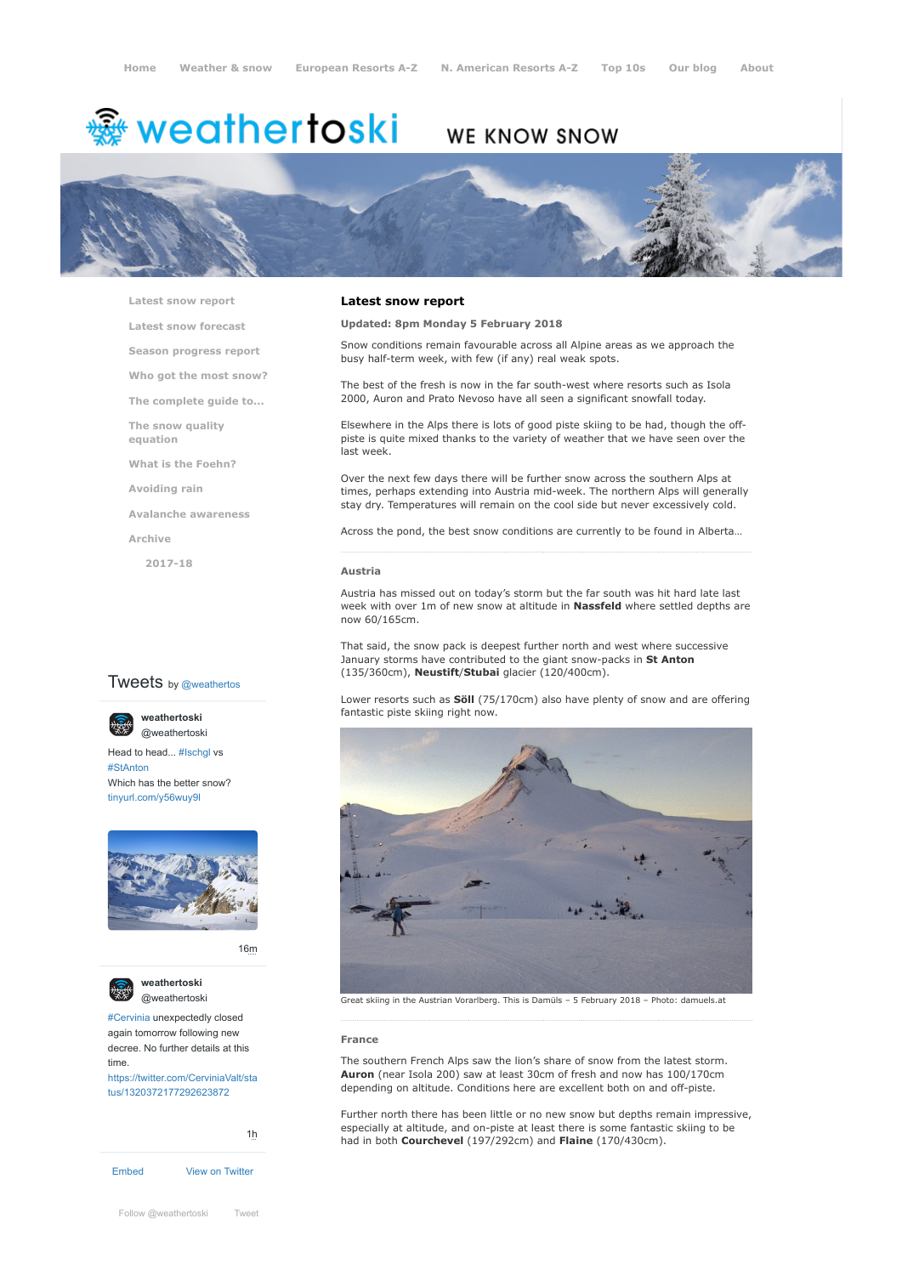# weathertoski ﷺ

# WE KNOW SNOW



**[Latest snow report](https://www.weathertoski.co.uk/weather-snow/latest-snow-report/)**

**[Latest snow forecast](https://www.weathertoski.co.uk/weather-snow/latest-snow-forecast/)**

**[Season progress report](https://www.weathertoski.co.uk/weather-snow/season-progress-report/)**

**[Who got the most snow?](https://www.weathertoski.co.uk/weather-snow/who-got-the-most-snow/)**

**[The complete guide to...](https://www.weathertoski.co.uk/weather-snow/the-complete-guide-to/)**

**[The snow quality](https://www.weathertoski.co.uk/weather-snow/the-snow-quality-equation/)**

**[What is the Foehn?](https://www.weathertoski.co.uk/weather-snow/what-is-the-foehn/)**

**[Avoiding rain](https://www.weathertoski.co.uk/weather-snow/avoiding-rain/)**

**[Avalanche awareness](https://www.weathertoski.co.uk/weather-snow/avalanche-awareness/)**

**[Archive](https://www.weathertoski.co.uk/weather-snow/archive/)**

**equation**

**[2017-18](https://www.weathertoski.co.uk/weather-snow/archive/2017-18/)**

# **Tweets** by @weathertos

**weathertoski**



Head to head... [#Ischgl](https://twitter.com/hashtag/Ischgl?src=hash) vs [#StAnton](https://twitter.com/hashtag/StAnton?src=hash) Which has the better snow? [tinyurl.com/y56wuy9l](https://t.co/AeKkyB0N9S)



[16m](https://twitter.com/weathertoski/status/1320387692862050304)



**weathertoski**

[#Cervinia](https://twitter.com/hashtag/Cervinia?src=hash) unexpectedly closed again tomorrow following new decree. No further details at this time.

[https://twitter.com/CerviniaValt/sta](https://twitter.com/CerviniaValt/status/1320372177292623872) tus/1320372177292623872

[Embed](https://publish.twitter.com/?url=https%3A%2F%2Ftwitter.com%2Fweathertoski) [View on Twitter](https://twitter.com/weathertoski) [1h](https://twitter.com/weathertoski/status/1320376647305093126)

## **Latest snow report**

# **Updated: 8pm Monday 5 February 2018**

Snow conditions remain favourable across all Alpine areas as we approach the busy half-term week, with few (if any) real weak spots.

The best of the fresh is now in the far south-west where resorts such as Isola 2000, Auron and Prato Nevoso have all seen a significant snowfall today.

Elsewhere in the Alps there is lots of good piste skiing to be had, though the offpiste is quite mixed thanks to the variety of weather that we have seen over the last week.

Over the next few days there will be further snow across the southern Alps at times, perhaps extending into Austria mid-week. The northern Alps will generally stay dry. Temperatures will remain on the cool side but never excessively cold.

Across the pond, the best snow conditions are currently to be found in Alberta…

#### **Austria**

Austria has missed out on today's storm but the far south was hit hard late last week with over 1m of new snow at altitude in **Nassfeld** where settled depths are now 60/165cm.

That said, the snow pack is deepest further north and west where successive January storms have contributed to the giant snow-packs in **St Anton** (135/360cm), **Neustift**/**Stubai** glacier (120/400cm).

Lower resorts such as **Söll** (75/170cm) also have plenty of snow and are offering fantastic piste skiing right now.



[@weathertoski](https://twitter.com/weathertoski) Great skiing in the Austrian Vorarlberg. This is Damüls – 5 February 2018 – Photo: damuels.at

#### **France**

The southern French Alps saw the lion's share of snow from the latest storm. **Auron** (near Isola 200) saw at least 30cm of fresh and now has 100/170cm depending on altitude. Conditions here are excellent both on and off-piste.

Further north there has been little or no new snow but depths remain impressive, especially at altitude, and on-piste at least there is some fantastic skiing to be had in both **Courchevel** (197/292cm) and **Flaine** (170/430cm).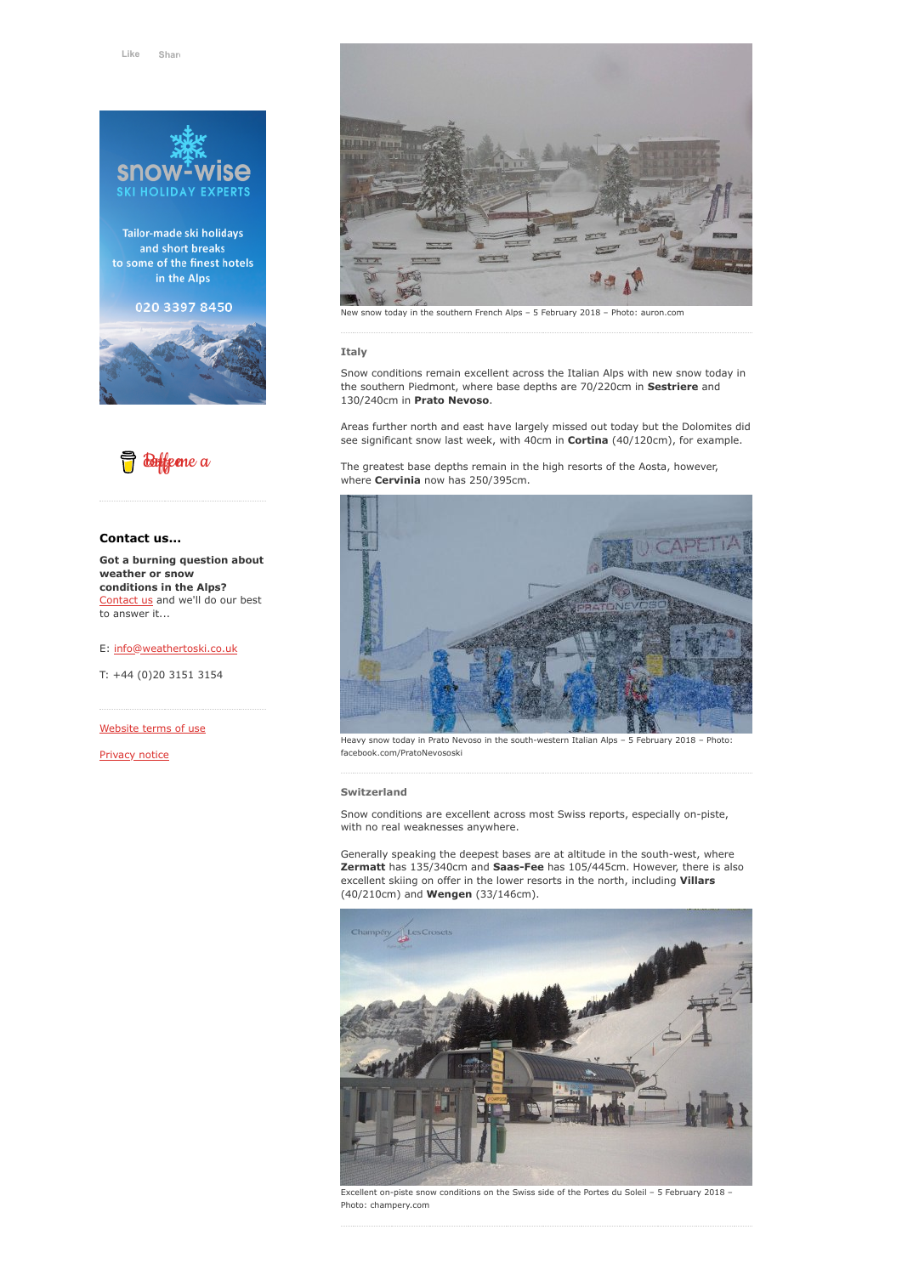

Tailor-made ski holidays and short breaks to some of the finest hotels in the Alps







# **Contact us...**

**Got a burning question about weather or snow conditions in the Alps?** [Contact us](https://www.weathertoski.co.uk/about-1/contact-us/) and we'll do our best to answer it...

E: [info@weathertoski.co.uk](mailto:fraser@weathertoski.co.uk)

T: +44 (0)20 3151 3154

[Website terms of use](https://www.weathertoski.co.uk/about-1/website-terms-of-use/)

[Privacy notice](https://www.weathertoski.co.uk/about-1/privacy-notice/)



#### **Italy**

Snow conditions remain excellent across the Italian Alps with new snow today in the southern Piedmont, where base depths are 70/220cm in **Sestriere** and 130/240cm in **Prato Nevoso**.

Areas further north and east have largely missed out today but the Dolomites did see significant snow last week, with 40cm in **Cortina** (40/120cm), for example.

The greatest base depths remain in the high resorts of the Aosta, however, where **Cervinia** now has 250/395cm.



Heavy snow today in Prato Nevoso in the south-western Italian Alps – 5 February 2018 – Photo: facebook.com/PratoNevososki

#### **Switzerland**

Snow conditions are excellent across most Swiss reports, especially on-piste, with no real weaknesses anywhere.

Generally speaking the deepest bases are at altitude in the south-west, where **Zermatt** has 135/340cm and **Saas-Fee** has 105/445cm. However, there is also excellent skiing on offer in the lower resorts in the north, including **Villars** (40/210cm) and **Wengen** (33/146cm).



Excellent on-piste snow conditions on the Swiss side of the Portes du Soleil – 5 February 2018 – Photo: champery.com